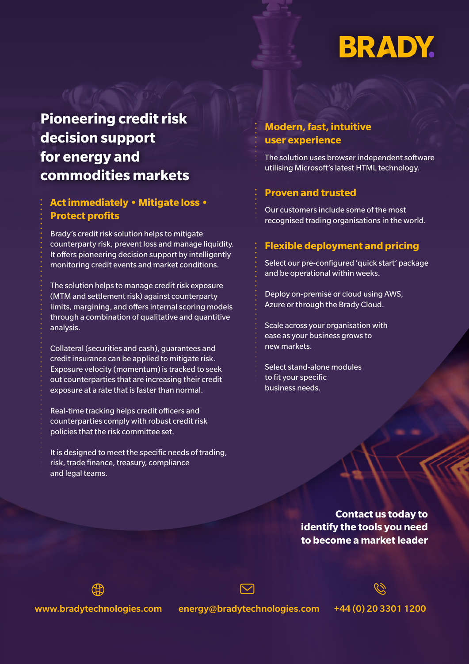# **BRADY.**

# **Pioneering credit risk decision support for energy and commodities markets**

### **Act immediately • Mitigate loss • Protect profits**

Brady's credit risk solution helps to mitigate counterparty risk, prevent loss and manage liquidity. It offers pioneering decision support by intelligently monitoring credit events and market conditions.

The solution helps to manage credit risk exposure (MTM and settlement risk) against counterparty limits, margining, and offers internal scoring models through a combination of qualitative and quantitive analysis.

Collateral (securities and cash), guarantees and credit insurance can be applied to mitigate risk. Exposure velocity (momentum) is tracked to seek out counterparties that are increasing their credit exposure at a rate that is faster than normal.

Real-time tracking helps credit officers and counterparties comply with robust credit risk policies that the risk committee set.

It is designed to meet the specific needs of trading, risk, trade finance, treasury, compliance and legal teams.

## **Modern, fast, intuitive user experience**

The solution uses browser independent software utilising Microsoft's latest HTML technology.

#### **Proven and trusted**

Our customers include some of the most recognised trading organisations in the world.

#### **Flexible deployment and pricing**

Select our pre-configured 'quick start' package and be operational within weeks.

Deploy on-premise or cloud using AWS, Azure or through the Brady Cloud.

Scale across your organisation with ease as your business grows to new markets.

Select stand-alone modules to fit your specific business needs.

> **Contact us today to identify the tools you need to become a market leader**

www.bradytechnologies.com energy@bradytechnologies.com +44 (0) 20 3301 1200

∰